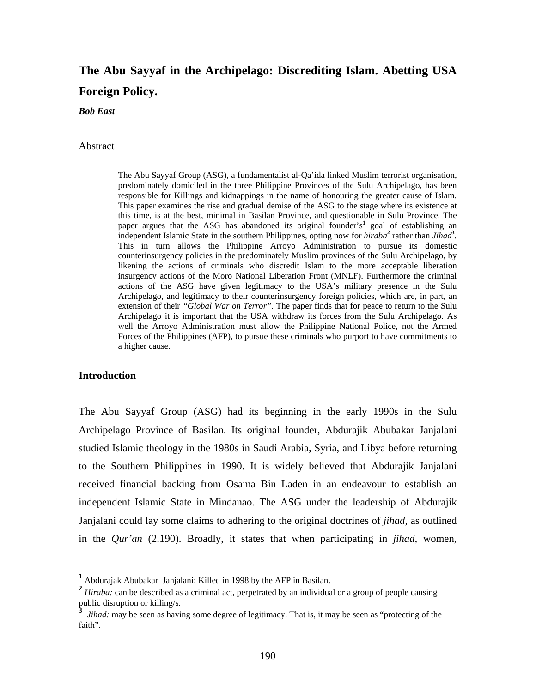# **The Abu Sayyaf in the Archipelago: Discrediting Islam. Abetting USA Foreign Policy.**

*Bob East* 

#### Abstract

 The Abu Sayyaf Group (ASG), a fundamentalist al-Qa'ida linked Muslim terrorist organisation, predominately domiciled in the three Philippine Provinces of the Sulu Archipelago, has been responsible for Killings and kidnappings in the name of honouring the greater cause of Islam. This paper examines the rise and gradual demise of the ASG to the stage where its existence at this time, is at the best, minimal in Basilan Province, and questionable in Sulu Province. The paper argues that the ASG has abandoned its original founder's<sup>1</sup> goal of establishing an independent Islamic State in the southern Philippines, opting now for *hiraba***<sup>2</sup>** rather than *Jihad***<sup>3</sup>** *.*  This in turn allows the Philippine Arroyo Administration to pursue its domestic counterinsurgency policies in the predominately Muslim provinces of the Sulu Archipelago, by likening the actions of criminals who discredit Islam to the more acceptable liberation insurgency actions of the Moro National Liberation Front (MNLF). Furthermore the criminal actions of the ASG have given legitimacy to the USA's military presence in the Sulu Archipelago, and legitimacy to their counterinsurgency foreign policies, which are, in part, an extension of their *"Global War on Terror".* The paper finds that for peace to return to the Sulu Archipelago it is important that the USA withdraw its forces from the Sulu Archipelago. As well the Arroyo Administration must allow the Philippine National Police, not the Armed Forces of the Philippines (AFP), to pursue these criminals who purport to have commitments to a higher cause.

# **Introduction**

 $\overline{a}$ 

The Abu Sayyaf Group (ASG) had its beginning in the early 1990s in the Sulu Archipelago Province of Basilan. Its original founder, Abdurajik Abubakar Janjalani studied Islamic theology in the 1980s in Saudi Arabia, Syria, and Libya before returning to the Southern Philippines in 1990. It is widely believed that Abdurajik Janjalani received financial backing from Osama Bin Laden in an endeavour to establish an independent Islamic State in Mindanao. The ASG under the leadership of Abdurajik Janjalani could lay some claims to adhering to the original doctrines of *jihad*, as outlined in the *Qur'an* (2.190). Broadly, it states that when participating in *jihad*, women,

**<sup>1</sup>** Abdurajak Abubakar Janjalani: Killed in 1998 by the AFP in Basilan.

<sup>&</sup>lt;sup>2</sup> *Hiraba:* can be described as a criminal act, perpetrated by an individual or a group of people causing public disruption or killing/s.

**<sup>3</sup>** *Jihad:* may be seen as having some degree of legitimacy. That is, it may be seen as "protecting of the faith".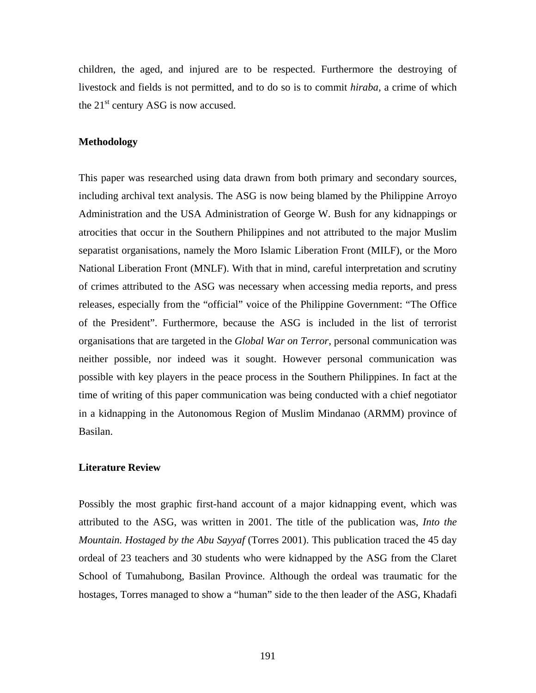children, the aged, and injured are to be respected. Furthermore the destroying of livestock and fields is not permitted, and to do so is to commit *hiraba,* a crime of which the  $21<sup>st</sup>$  century ASG is now accused.

# **Methodology**

This paper was researched using data drawn from both primary and secondary sources, including archival text analysis. The ASG is now being blamed by the Philippine Arroyo Administration and the USA Administration of George W. Bush for any kidnappings or atrocities that occur in the Southern Philippines and not attributed to the major Muslim separatist organisations, namely the Moro Islamic Liberation Front (MILF), or the Moro National Liberation Front (MNLF). With that in mind, careful interpretation and scrutiny of crimes attributed to the ASG was necessary when accessing media reports, and press releases, especially from the "official" voice of the Philippine Government: "The Office of the President". Furthermore, because the ASG is included in the list of terrorist organisations that are targeted in the *Global War on Terror,* personal communication was neither possible, nor indeed was it sought. However personal communication was possible with key players in the peace process in the Southern Philippines. In fact at the time of writing of this paper communication was being conducted with a chief negotiator in a kidnapping in the Autonomous Region of Muslim Mindanao (ARMM) province of Basilan.

# **Literature Review**

Possibly the most graphic first-hand account of a major kidnapping event, which was attributed to the ASG, was written in 2001. The title of the publication was, *Into the Mountain. Hostaged by the Abu Sayyaf* (Torres 2001). This publication traced the 45 day ordeal of 23 teachers and 30 students who were kidnapped by the ASG from the Claret School of Tumahubong, Basilan Province. Although the ordeal was traumatic for the hostages, Torres managed to show a "human" side to the then leader of the ASG, Khadafi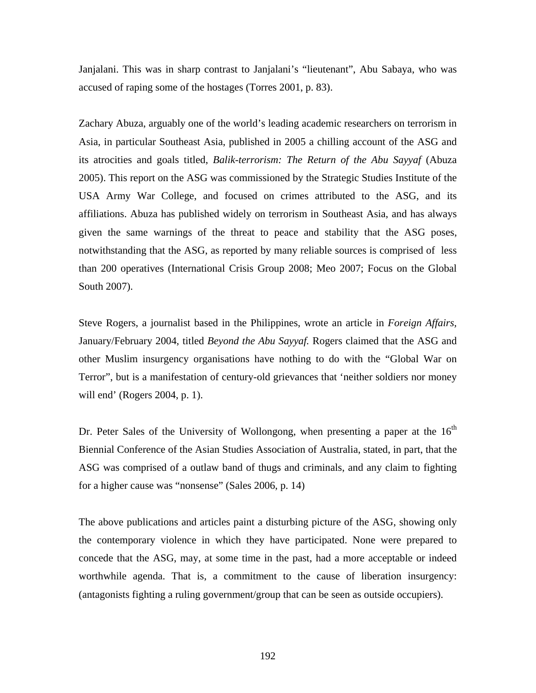Janjalani. This was in sharp contrast to Janjalani's "lieutenant", Abu Sabaya, who was accused of raping some of the hostages (Torres 2001, p. 83).

Zachary Abuza, arguably one of the world's leading academic researchers on terrorism in Asia, in particular Southeast Asia, published in 2005 a chilling account of the ASG and its atrocities and goals titled, *Balik-terrorism: The Return of the Abu Sayyaf* (Abuza 2005). This report on the ASG was commissioned by the Strategic Studies Institute of the USA Army War College, and focused on crimes attributed to the ASG, and its affiliations. Abuza has published widely on terrorism in Southeast Asia, and has always given the same warnings of the threat to peace and stability that the ASG poses, notwithstanding that the ASG, as reported by many reliable sources is comprised of less than 200 operatives (International Crisis Group 2008; Meo 2007; Focus on the Global South 2007).

Steve Rogers, a journalist based in the Philippines, wrote an article in *Foreign Affairs,* January/February 2004, titled *Beyond the Abu Sayyaf.* Rogers claimed that the ASG and other Muslim insurgency organisations have nothing to do with the "Global War on Terror", but is a manifestation of century-old grievances that 'neither soldiers nor money will end' (Rogers 2004, p. 1).

Dr. Peter Sales of the University of Wollongong, when presenting a paper at the  $16<sup>th</sup>$ Biennial Conference of the Asian Studies Association of Australia, stated, in part, that the ASG was comprised of a outlaw band of thugs and criminals, and any claim to fighting for a higher cause was "nonsense" (Sales 2006, p. 14)

The above publications and articles paint a disturbing picture of the ASG, showing only the contemporary violence in which they have participated. None were prepared to concede that the ASG, may, at some time in the past, had a more acceptable or indeed worthwhile agenda. That is, a commitment to the cause of liberation insurgency: (antagonists fighting a ruling government/group that can be seen as outside occupiers).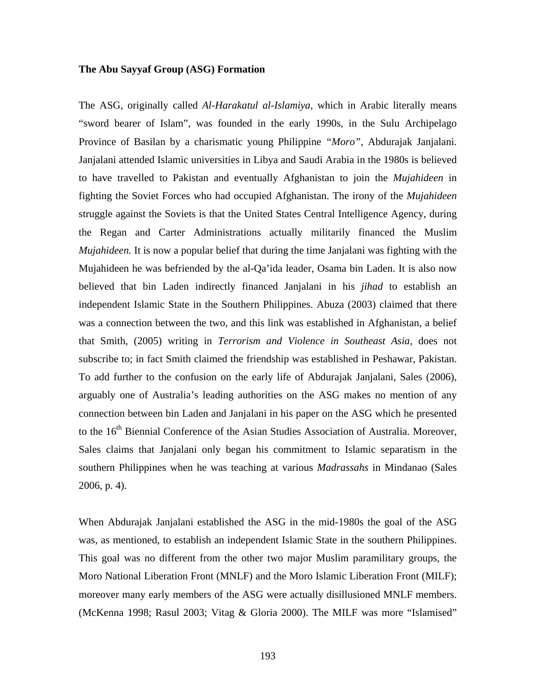# **The Abu Sayyaf Group (ASG) Formation**

The ASG, originally called *Al-Harakatul al-Islamiya,* which in Arabic literally means "sword bearer of Islam", was founded in the early 1990s, in the Sulu Archipelago Province of Basilan by a charismatic young Philippine *"Moro"*, Abdurajak Janjalani. Janjalani attended Islamic universities in Libya and Saudi Arabia in the 1980s is believed to have travelled to Pakistan and eventually Afghanistan to join the *Mujahideen* in fighting the Soviet Forces who had occupied Afghanistan. The irony of the *Mujahideen*  struggle against the Soviets is that the United States Central Intelligence Agency, during the Regan and Carter Administrations actually militarily financed the Muslim *Mujahideen.* It is now a popular belief that during the time Janjalani was fighting with the Mujahideen he was befriended by the al-Qa'ida leader, Osama bin Laden. It is also now believed that bin Laden indirectly financed Janjalani in his *jihad* to establish an independent Islamic State in the Southern Philippines. Abuza (2003) claimed that there was a connection between the two, and this link was established in Afghanistan, a belief that Smith, (2005) writing in *Terrorism and Violence in Southeast Asia,* does not subscribe to; in fact Smith claimed the friendship was established in Peshawar, Pakistan. To add further to the confusion on the early life of Abdurajak Janjalani, Sales (2006), arguably one of Australia's leading authorities on the ASG makes no mention of any connection between bin Laden and Janjalani in his paper on the ASG which he presented to the 16<sup>th</sup> Biennial Conference of the Asian Studies Association of Australia. Moreover, Sales claims that Janjalani only began his commitment to Islamic separatism in the southern Philippines when he was teaching at various *Madrassahs* in Mindanao (Sales 2006, p. 4).

When Abdurajak Janjalani established the ASG in the mid-1980s the goal of the ASG was, as mentioned, to establish an independent Islamic State in the southern Philippines. This goal was no different from the other two major Muslim paramilitary groups, the Moro National Liberation Front (MNLF) and the Moro Islamic Liberation Front (MILF); moreover many early members of the ASG were actually disillusioned MNLF members. (McKenna 1998; Rasul 2003; Vitag & Gloria 2000). The MILF was more "Islamised"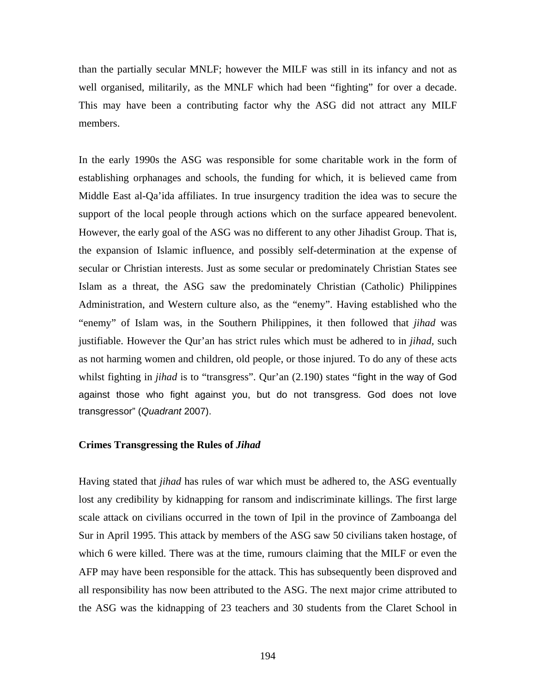than the partially secular MNLF; however the MILF was still in its infancy and not as well organised, militarily, as the MNLF which had been "fighting" for over a decade. This may have been a contributing factor why the ASG did not attract any MILF members.

In the early 1990s the ASG was responsible for some charitable work in the form of establishing orphanages and schools, the funding for which, it is believed came from Middle East al-Qa'ida affiliates. In true insurgency tradition the idea was to secure the support of the local people through actions which on the surface appeared benevolent. However, the early goal of the ASG was no different to any other Jihadist Group. That is, the expansion of Islamic influence, and possibly self-determination at the expense of secular or Christian interests. Just as some secular or predominately Christian States see Islam as a threat, the ASG saw the predominately Christian (Catholic) Philippines Administration, and Western culture also, as the "enemy". Having established who the "enemy" of Islam was, in the Southern Philippines, it then followed that *jihad* was justifiable. However the Qur'an has strict rules which must be adhered to in *jihad,* such as not harming women and children, old people, or those injured. To do any of these acts whilst fighting in *jihad* is to "transgress". Qur'an (2.190) states "fight in the way of God against those who fight against you, but do not transgress. God does not love transgressor" (*Quadrant* 2007).

#### **Crimes Transgressing the Rules of** *Jihad*

Having stated that *jihad* has rules of war which must be adhered to, the ASG eventually lost any credibility by kidnapping for ransom and indiscriminate killings. The first large scale attack on civilians occurred in the town of Ipil in the province of Zamboanga del Sur in April 1995. This attack by members of the ASG saw 50 civilians taken hostage, of which 6 were killed. There was at the time, rumours claiming that the MILF or even the AFP may have been responsible for the attack. This has subsequently been disproved and all responsibility has now been attributed to the ASG. The next major crime attributed to the ASG was the kidnapping of 23 teachers and 30 students from the Claret School in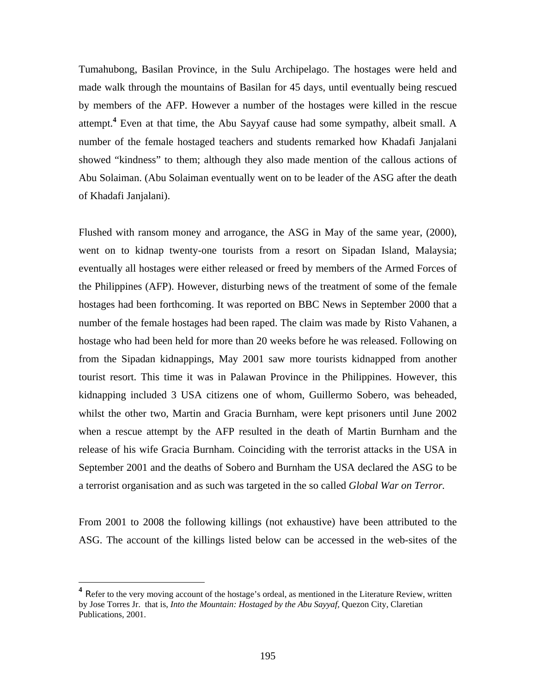Tumahubong, Basilan Province, in the Sulu Archipelago. The hostages were held and made walk through the mountains of Basilan for 45 days, until eventually being rescued by members of the AFP. However a number of the hostages were killed in the rescue attempt.**<sup>4</sup>** Even at that time, the Abu Sayyaf cause had some sympathy, albeit small. A number of the female hostaged teachers and students remarked how Khadafi Janjalani showed "kindness" to them; although they also made mention of the callous actions of Abu Solaiman. (Abu Solaiman eventually went on to be leader of the ASG after the death of Khadafi Janjalani).

Flushed with ransom money and arrogance, the ASG in May of the same year, (2000), went on to kidnap twenty-one tourists from a resort on Sipadan Island, Malaysia; eventually all hostages were either released or freed by members of the Armed Forces of the Philippines (AFP). However, disturbing news of the treatment of some of the female hostages had been forthcoming. It was reported on BBC News in September 2000 that a number of the female hostages had been raped. The claim was made by Risto Vahanen, a hostage who had been held for more than 20 weeks before he was released. Following on from the Sipadan kidnappings, May 2001 saw more tourists kidnapped from another tourist resort. This time it was in Palawan Province in the Philippines. However, this kidnapping included 3 USA citizens one of whom, Guillermo Sobero, was beheaded, whilst the other two, Martin and Gracia Burnham, were kept prisoners until June 2002 when a rescue attempt by the AFP resulted in the death of Martin Burnham and the release of his wife Gracia Burnham. Coinciding with the terrorist attacks in the USA in September 2001 and the deaths of Sobero and Burnham the USA declared the ASG to be a terrorist organisation and as such was targeted in the so called *Global War on Terror.* 

From 2001 to 2008 the following killings (not exhaustive) have been attributed to the ASG. The account of the killings listed below can be accessed in the web-sites of the

 $\overline{a}$ 

<sup>&</sup>lt;sup>4</sup> Refer to the very moving account of the hostage's ordeal, as mentioned in the Literature Review, written by Jose Torres Jr. that is, *Into the Mountain: Hostaged by the Abu Sayyaf,* Quezon City, Claretian Publications, 2001.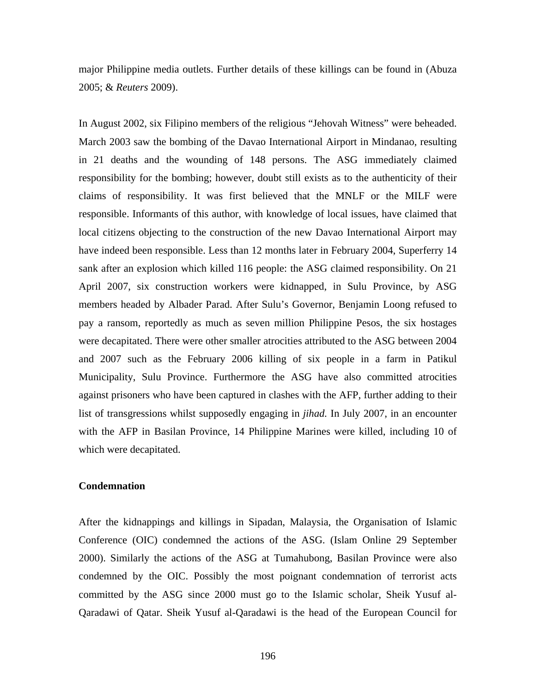major Philippine media outlets. Further details of these killings can be found in (Abuza 2005; & *Reuters* 2009).

In August 2002, six Filipino members of the religious "Jehovah Witness" were beheaded. March 2003 saw the bombing of the Davao International Airport in Mindanao, resulting in 21 deaths and the wounding of 148 persons. The ASG immediately claimed responsibility for the bombing; however, doubt still exists as to the authenticity of their claims of responsibility. It was first believed that the MNLF or the MILF were responsible. Informants of this author, with knowledge of local issues, have claimed that local citizens objecting to the construction of the new Davao International Airport may have indeed been responsible. Less than 12 months later in February 2004, Superferry 14 sank after an explosion which killed 116 people: the ASG claimed responsibility. On 21 April 2007, six construction workers were kidnapped, in Sulu Province, by ASG members headed by Albader Parad. After Sulu's Governor, Benjamin Loong refused to pay a ransom, reportedly as much as seven million Philippine Pesos, the six hostages were decapitated. There were other smaller atrocities attributed to the ASG between 2004 and 2007 such as the February 2006 killing of six people in a farm in Patikul Municipality, Sulu Province. Furthermore the ASG have also committed atrocities against prisoners who have been captured in clashes with the AFP, further adding to their list of transgressions whilst supposedly engaging in *jihad.* In July 2007, in an encounter with the AFP in Basilan Province, 14 Philippine Marines were killed, including 10 of which were decapitated.

# **Condemnation**

After the kidnappings and killings in Sipadan, Malaysia, the Organisation of Islamic Conference (OIC) condemned the actions of the ASG. (Islam Online 29 September 2000). Similarly the actions of the ASG at Tumahubong, Basilan Province were also condemned by the OIC. Possibly the most poignant condemnation of terrorist acts committed by the ASG since 2000 must go to the Islamic scholar, Sheik Yusuf al-Qaradawi of Qatar. Sheik Yusuf al-Qaradawi is the head of the European Council for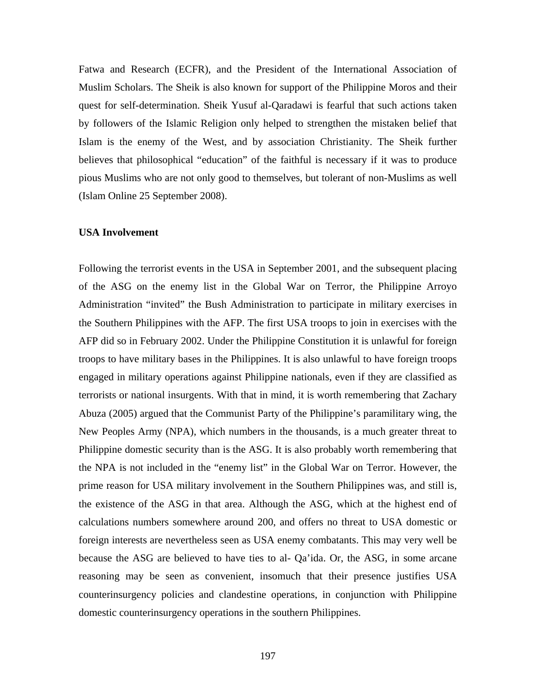Fatwa and Research (ECFR), and the President of the International Association of Muslim Scholars. The Sheik is also known for support of the Philippine Moros and their quest for self-determination. Sheik Yusuf al-Qaradawi is fearful that such actions taken by followers of the Islamic Religion only helped to strengthen the mistaken belief that Islam is the enemy of the West, and by association Christianity. The Sheik further believes that philosophical "education" of the faithful is necessary if it was to produce pious Muslims who are not only good to themselves, but tolerant of non-Muslims as well (Islam Online 25 September 2008).

## **USA Involvement**

Following the terrorist events in the USA in September 2001, and the subsequent placing of the ASG on the enemy list in the Global War on Terror, the Philippine Arroyo Administration "invited" the Bush Administration to participate in military exercises in the Southern Philippines with the AFP. The first USA troops to join in exercises with the AFP did so in February 2002. Under the Philippine Constitution it is unlawful for foreign troops to have military bases in the Philippines. It is also unlawful to have foreign troops engaged in military operations against Philippine nationals, even if they are classified as terrorists or national insurgents. With that in mind, it is worth remembering that Zachary Abuza (2005) argued that the Communist Party of the Philippine's paramilitary wing, the New Peoples Army (NPA), which numbers in the thousands, is a much greater threat to Philippine domestic security than is the ASG. It is also probably worth remembering that the NPA is not included in the "enemy list" in the Global War on Terror. However, the prime reason for USA military involvement in the Southern Philippines was, and still is, the existence of the ASG in that area. Although the ASG, which at the highest end of calculations numbers somewhere around 200, and offers no threat to USA domestic or foreign interests are nevertheless seen as USA enemy combatants. This may very well be because the ASG are believed to have ties to al- Qa'ida. Or, the ASG, in some arcane reasoning may be seen as convenient, insomuch that their presence justifies USA counterinsurgency policies and clandestine operations, in conjunction with Philippine domestic counterinsurgency operations in the southern Philippines.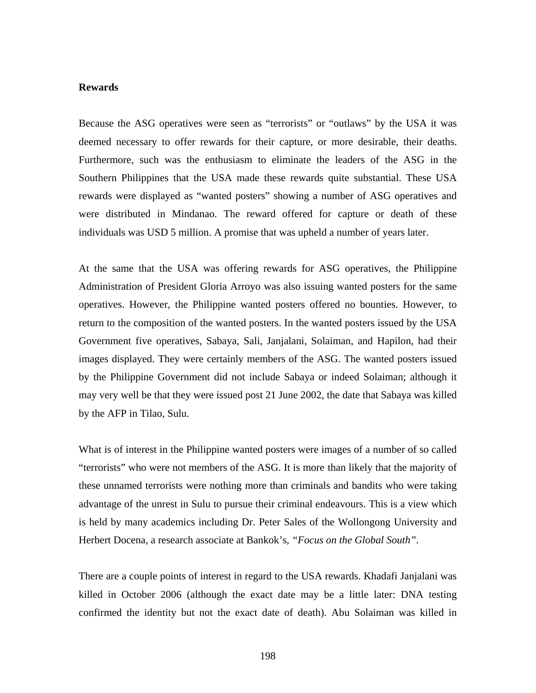# **Rewards**

Because the ASG operatives were seen as "terrorists" or "outlaws" by the USA it was deemed necessary to offer rewards for their capture, or more desirable, their deaths. Furthermore, such was the enthusiasm to eliminate the leaders of the ASG in the Southern Philippines that the USA made these rewards quite substantial. These USA rewards were displayed as "wanted posters" showing a number of ASG operatives and were distributed in Mindanao. The reward offered for capture or death of these individuals was USD 5 million. A promise that was upheld a number of years later.

At the same that the USA was offering rewards for ASG operatives, the Philippine Administration of President Gloria Arroyo was also issuing wanted posters for the same operatives. However, the Philippine wanted posters offered no bounties. However, to return to the composition of the wanted posters. In the wanted posters issued by the USA Government five operatives, Sabaya, Sali, Janjalani, Solaiman, and Hapilon, had their images displayed. They were certainly members of the ASG. The wanted posters issued by the Philippine Government did not include Sabaya or indeed Solaiman; although it may very well be that they were issued post 21 June 2002, the date that Sabaya was killed by the AFP in Tilao, Sulu.

What is of interest in the Philippine wanted posters were images of a number of so called "terrorists" who were not members of the ASG. It is more than likely that the majority of these unnamed terrorists were nothing more than criminals and bandits who were taking advantage of the unrest in Sulu to pursue their criminal endeavours. This is a view which is held by many academics including Dr. Peter Sales of the Wollongong University and Herbert Docena, a research associate at Bankok's, *"Focus on the Global South".*

There are a couple points of interest in regard to the USA rewards. Khadafi Janjalani was killed in October 2006 (although the exact date may be a little later: DNA testing confirmed the identity but not the exact date of death). Abu Solaiman was killed in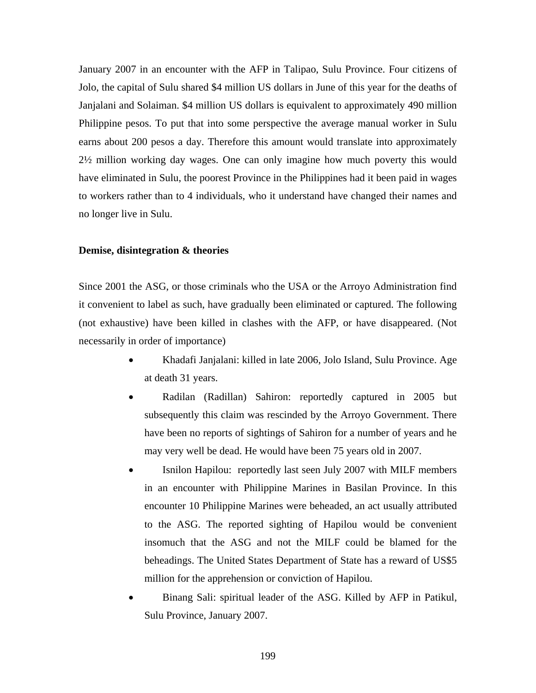January 2007 in an encounter with the AFP in Talipao, Sulu Province. Four citizens of Jolo, the capital of Sulu shared \$4 million US dollars in June of this year for the deaths of Janjalani and Solaiman. \$4 million US dollars is equivalent to approximately 490 million Philippine pesos. To put that into some perspective the average manual worker in Sulu earns about 200 pesos a day. Therefore this amount would translate into approximately 2½ million working day wages. One can only imagine how much poverty this would have eliminated in Sulu, the poorest Province in the Philippines had it been paid in wages to workers rather than to 4 individuals, who it understand have changed their names and no longer live in Sulu.

## **Demise, disintegration & theories**

Since 2001 the ASG, or those criminals who the USA or the Arroyo Administration find it convenient to label as such, have gradually been eliminated or captured. The following (not exhaustive) have been killed in clashes with the AFP, or have disappeared. (Not necessarily in order of importance)

- Khadafi Janjalani: killed in late 2006, Jolo Island, Sulu Province. Age at death 31 years.
- Radilan (Radillan) Sahiron: reportedly captured in 2005 but subsequently this claim was rescinded by the Arroyo Government. There have been no reports of sightings of Sahiron for a number of years and he may very well be dead. He would have been 75 years old in 2007.
- Isnilon Hapilou: reportedly last seen July 2007 with MILF members in an encounter with Philippine Marines in Basilan Province. In this encounter 10 Philippine Marines were beheaded, an act usually attributed to the ASG. The reported sighting of Hapilou would be convenient insomuch that the ASG and not the MILF could be blamed for the beheadings. The United States Department of State has a reward of US\$5 million for the apprehension or conviction of Hapilou.
- Binang Sali: spiritual leader of the ASG. Killed by AFP in Patikul, Sulu Province, January 2007.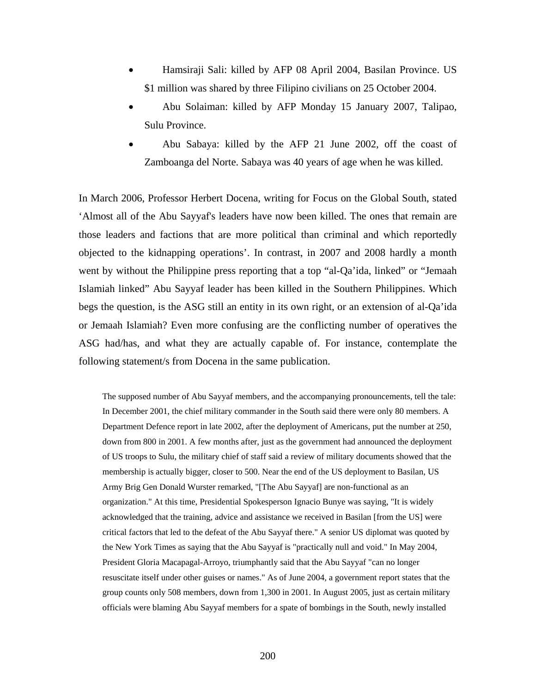- Hamsiraji Sali: killed by AFP 08 April 2004, Basilan Province. US \$1 million was shared by three Filipino civilians on 25 October 2004.
- Abu Solaiman: killed by AFP Monday 15 January 2007, Talipao, Sulu Province.
- Abu Sabaya: killed by the AFP 21 June 2002, off the coast of Zamboanga del Norte. Sabaya was 40 years of age when he was killed.

In March 2006, Professor Herbert Docena, writing for Focus on the Global South, stated 'Almost all of the Abu Sayyaf's leaders have now been killed. The ones that remain are those leaders and factions that are more political than criminal and which reportedly objected to the kidnapping operations'. In contrast, in 2007 and 2008 hardly a month went by without the Philippine press reporting that a top "al-Qa'ida, linked" or "Jemaah Islamiah linked" Abu Sayyaf leader has been killed in the Southern Philippines. Which begs the question, is the ASG still an entity in its own right, or an extension of al-Qa'ida or Jemaah Islamiah? Even more confusing are the conflicting number of operatives the ASG had/has, and what they are actually capable of. For instance, contemplate the following statement/s from Docena in the same publication.

The supposed number of Abu Sayyaf members, and the accompanying pronouncements, tell the tale: In December 2001, the chief military commander in the South said there were only 80 members. A Department Defence report in late 2002, after the deployment of Americans, put the number at 250, down from 800 in 2001. A few months after, just as the government had announced the deployment of US troops to Sulu, the military chief of staff said a review of military documents showed that the membership is actually bigger, closer to 500. Near the end of the US deployment to Basilan, US Army Brig Gen Donald Wurster remarked, "[The Abu Sayyaf] are non-functional as an organization." At this time, Presidential Spokesperson Ignacio Bunye was saying, "It is widely acknowledged that the training, advice and assistance we received in Basilan [from the US] were critical factors that led to the defeat of the Abu Sayyaf there." A senior US diplomat was quoted by the New York Times as saying that the Abu Sayyaf is "practically null and void." In May 2004, President Gloria Macapagal-Arroyo, triumphantly said that the Abu Sayyaf "can no longer resuscitate itself under other guises or names." As of June 2004, a government report states that the group counts only 508 members, down from 1,300 in 2001. In August 2005, just as certain military officials were blaming Abu Sayyaf members for a spate of bombings in the South, newly installed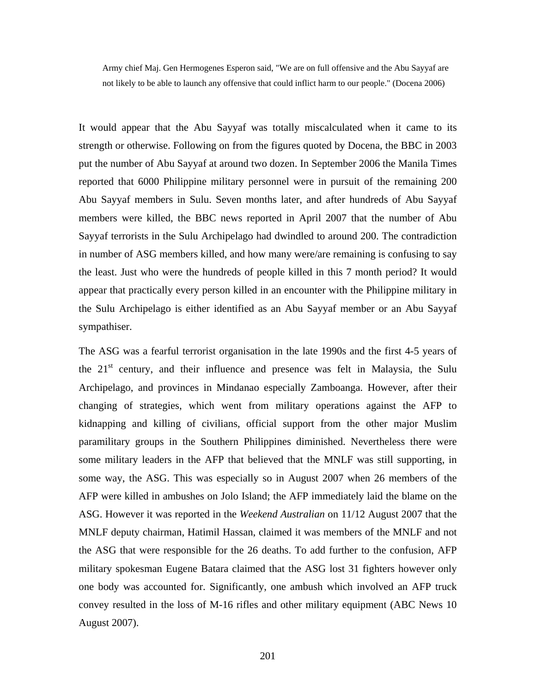Army chief Maj. Gen Hermogenes Esperon said, "We are on full offensive and the Abu Sayyaf are not likely to be able to launch any offensive that could inflict harm to our people." (Docena 2006)

It would appear that the Abu Sayyaf was totally miscalculated when it came to its strength or otherwise. Following on from the figures quoted by Docena, the BBC in 2003 put the number of Abu Sayyaf at around two dozen. In September 2006 the Manila Times reported that 6000 Philippine military personnel were in pursuit of the remaining 200 Abu Sayyaf members in Sulu. Seven months later, and after hundreds of Abu Sayyaf members were killed, the BBC news reported in April 2007 that the number of Abu Sayyaf terrorists in the Sulu Archipelago had dwindled to around 200. The contradiction in number of ASG members killed, and how many were/are remaining is confusing to say the least. Just who were the hundreds of people killed in this 7 month period? It would appear that practically every person killed in an encounter with the Philippine military in the Sulu Archipelago is either identified as an Abu Sayyaf member or an Abu Sayyaf sympathiser.

The ASG was a fearful terrorist organisation in the late 1990s and the first 4-5 years of the  $21<sup>st</sup>$  century, and their influence and presence was felt in Malaysia, the Sulu Archipelago, and provinces in Mindanao especially Zamboanga. However, after their changing of strategies, which went from military operations against the AFP to kidnapping and killing of civilians, official support from the other major Muslim paramilitary groups in the Southern Philippines diminished. Nevertheless there were some military leaders in the AFP that believed that the MNLF was still supporting, in some way, the ASG. This was especially so in August 2007 when 26 members of the AFP were killed in ambushes on Jolo Island; the AFP immediately laid the blame on the ASG. However it was reported in the *Weekend Australian* on 11/12 August 2007 that the MNLF deputy chairman, Hatimil Hassan, claimed it was members of the MNLF and not the ASG that were responsible for the 26 deaths. To add further to the confusion, AFP military spokesman Eugene Batara claimed that the ASG lost 31 fighters however only one body was accounted for. Significantly, one ambush which involved an AFP truck convey resulted in the loss of M-16 rifles and other military equipment (ABC News 10 August 2007).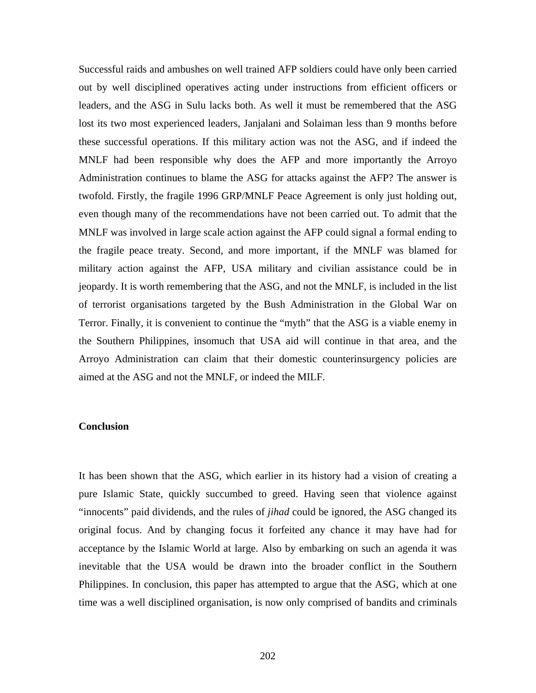Successful raids and ambushes on well trained AFP soldiers could have only been carried out by well disciplined operatives acting under instructions from efficient officers or leaders, and the ASG in Sulu lacks both. As well it must be remembered that the ASG lost its two most experienced leaders, Janjalani and Solaiman less than 9 months before these successful operations. If this military action was not the ASG, and if indeed the MNLF had been responsible why does the AFP and more importantly the Arroyo Administration continues to blame the ASG for attacks against the AFP? The answer is twofold. Firstly, the fragile 1996 GRP/MNLF Peace Agreement is only just holding out, even though many of the recommendations have not been carried out. To admit that the MNLF was involved in large scale action against the AFP could signal a formal ending to the fragile peace treaty. Second, and more important, if the MNLF was blamed for military action against the AFP, USA military and civilian assistance could be in jeopardy. It is worth remembering that the ASG, and not the MNLF, is included in the list of terrorist organisations targeted by the Bush Administration in the Global War on Terror. Finally, it is convenient to continue the "myth" that the ASG is a viable enemy in the Southern Philippines, insomuch that USA aid will continue in that area, and the Arroyo Administration can claim that their domestic counterinsurgency policies are aimed at the ASG and not the MNLF, or indeed the MILF.

# **Conclusion**

It has been shown that the ASG, which earlier in its history had a vision of creating a pure Islamic State, quickly succumbed to greed. Having seen that violence against "innocents" paid dividends, and the rules of *jihad* could be ignored, the ASG changed its original focus. And by changing focus it forfeited any chance it may have had for acceptance by the Islamic World at large. Also by embarking on such an agenda it was inevitable that the USA would be drawn into the broader conflict in the Southern Philippines. In conclusion, this paper has attempted to argue that the ASG, which at one time was a well disciplined organisation, is now only comprised of bandits and criminals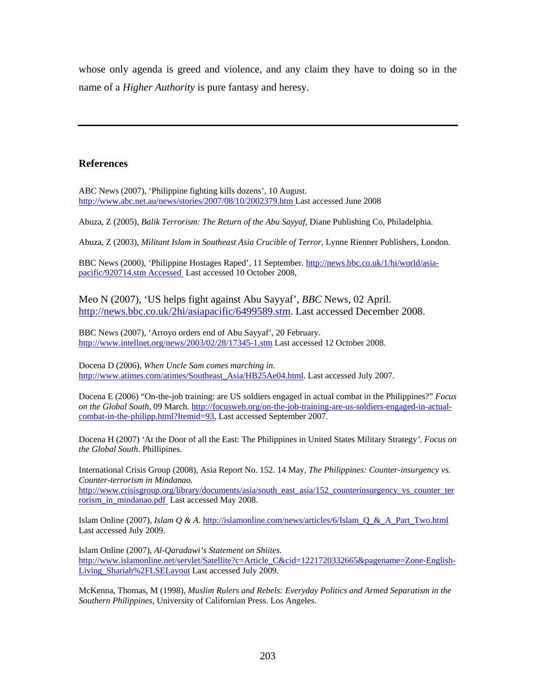whose only agenda is greed and violence, and any claim they have to doing so in the name of a *Higher Authority* is pure fantasy and heresy.

# **References**

ABC News (2007), 'Philippine fighting kills dozens', 10 August. http://www.abc.net.au/news/stories/2007/08/10/2002379.htm Last accessed June 2008

Abuza, Z (2005), *Balik Terrorism: The Return of the Abu Sayyaf,* Diane Publishing Co, Philadelphia.

Abuza, Z (2003), *Militant Islam in Southeast Asia Crucible of Terror*, Lynne Rienner Publishers, London.

BBC News (2000), 'Philippine Hostages Raped', 11 September. http://news.bbc.co.uk/1/hi/world/asiapacific/920714.stm Accessed Last accessed 10 October 2008,

Meo N (2007), 'US helps fight against Abu Sayyaf', *BBC* News, 02 April. http://news.bbc.co.uk/2hi/asiapacific/6499589.stm. Last accessed December 2008.

BBC News (2007), 'Arroyo orders end of Abu Sayyaf', 20 February. http://www.intellnet.org/news/2003/02/28/17345-1.stm Last accessed 12 October 2008.

Docena D (2006), *When Uncle Sam comes marching in*. http://www.atimes.com/atimes/Southeast\_Asia/HB25Ae04.html. Last accessed July 2007.

Docena E (2006) "On-the-job training: are US soldiers engaged in actual combat in the Philippines?" *Focus on the Global South*, 09 March. http://focusweb.org/on-the-job-training-are-us-soldiers-engaged-in-actualcombat-in-the-philipp.html?Itemid=93, Last accessed September 2007.

Docena H (2007) *'*At the Door of all the East: The Philippines in United States Military Strategy*'*. *Focus on the Global South*. Phillipines.

International Crisis Group (2008), Asia Report No. 152. 14 May, *The Philippines: Counter-insurgency vs. Counter-terrorism in Mindanao.* http://www.crisisgroup.org/library/documents/asia/south\_east\_asia/152\_counterinsurgency\_vs\_counter\_ter rorism\_in\_mindanao.pdf Last accessed May 2008.

Islam Online (2007), *Islam Q & A*. http://islamonline.com/news/articles/6/Islam\_Q\_&\_A\_Part\_Two.html Last accessed July 2009.

Islam Online (2007), *Al-Qaradawi's Statement on Shiites.* http://www.islamonline.net/servlet/Satellite?c=Article\_C&cid=1221720332665&pagename=Zone-English-Living Shariah%2FLSELayout Last accessed July 2009.

McKenna, Thomas, M (1998), *Muslim Rulers and Rebels: Everyday Politics and Armed Separatism in the Southern Philippines,* University of Californian Press. Los Angeles.